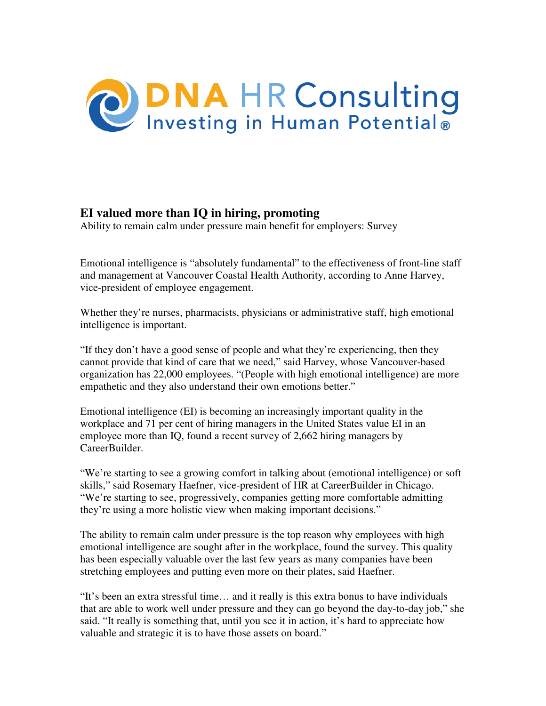

## **EI valued more than IQ in hiring, promoting**

Ability to remain calm under pressure main benefit for employers: Survey

Emotional intelligence is "absolutely fundamental" to the effectiveness of front-line staff and management at Vancouver Coastal Health Authority, according to Anne Harvey, vice-president of employee engagement.

Whether they're nurses, pharmacists, physicians or administrative staff, high emotional intelligence is important.

"If they don't have a good sense of people and what they're experiencing, then they cannot provide that kind of care that we need," said Harvey, whose Vancouver-based organization has 22,000 employees. "(People with high emotional intelligence) are more empathetic and they also understand their own emotions better."

Emotional intelligence (EI) is becoming an increasingly important quality in the workplace and 71 per cent of hiring managers in the United States value EI in an employee more than IQ, found a recent survey of 2,662 hiring managers by CareerBuilder.

"We're starting to see a growing comfort in talking about (emotional intelligence) or soft skills," said Rosemary Haefner, vice-president of HR at CareerBuilder in Chicago. "We're starting to see, progressively, companies getting more comfortable admitting they're using a more holistic view when making important decisions."

The ability to remain calm under pressure is the top reason why employees with high emotional intelligence are sought after in the workplace, found the survey. This quality has been especially valuable over the last few years as many companies have been stretching employees and putting even more on their plates, said Haefner.

"It's been an extra stressful time… and it really is this extra bonus to have individuals that are able to work well under pressure and they can go beyond the day-to-day job," she said. "It really is something that, until you see it in action, it's hard to appreciate how valuable and strategic it is to have those assets on board."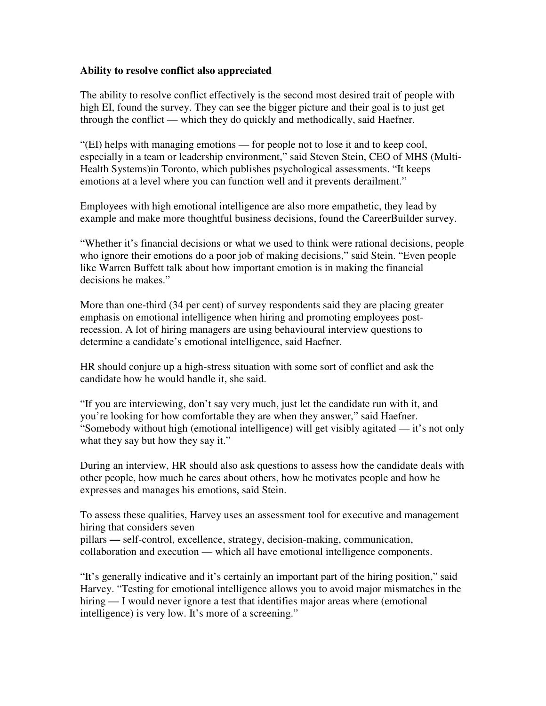## **Ability to resolve conflict also appreciated**

The ability to resolve conflict effectively is the second most desired trait of people with high EI, found the survey. They can see the bigger picture and their goal is to just get through the conflict — which they do quickly and methodically, said Haefner.

"(EI) helps with managing emotions — for people not to lose it and to keep cool, especially in a team or leadership environment," said Steven Stein, CEO of MHS (Multi-Health Systems)in Toronto, which publishes psychological assessments. "It keeps emotions at a level where you can function well and it prevents derailment."

Employees with high emotional intelligence are also more empathetic, they lead by example and make more thoughtful business decisions, found the CareerBuilder survey.

"Whether it's financial decisions or what we used to think were rational decisions, people who ignore their emotions do a poor job of making decisions," said Stein. "Even people like Warren Buffett talk about how important emotion is in making the financial decisions he makes."

More than one-third (34 per cent) of survey respondents said they are placing greater emphasis on emotional intelligence when hiring and promoting employees postrecession. A lot of hiring managers are using behavioural interview questions to determine a candidate's emotional intelligence, said Haefner.

HR should conjure up a high-stress situation with some sort of conflict and ask the candidate how he would handle it, she said.

"If you are interviewing, don't say very much, just let the candidate run with it, and you're looking for how comfortable they are when they answer," said Haefner. "Somebody without high (emotional intelligence) will get visibly agitated — it's not only what they say but how they say it."

During an interview, HR should also ask questions to assess how the candidate deals with other people, how much he cares about others, how he motivates people and how he expresses and manages his emotions, said Stein.

To assess these qualities, Harvey uses an assessment tool for executive and management hiring that considers seven

pillars **—** self-control, excellence, strategy, decision-making, communication, collaboration and execution — which all have emotional intelligence components.

"It's generally indicative and it's certainly an important part of the hiring position," said Harvey. "Testing for emotional intelligence allows you to avoid major mismatches in the hiring — I would never ignore a test that identifies major areas where (emotional intelligence) is very low. It's more of a screening."